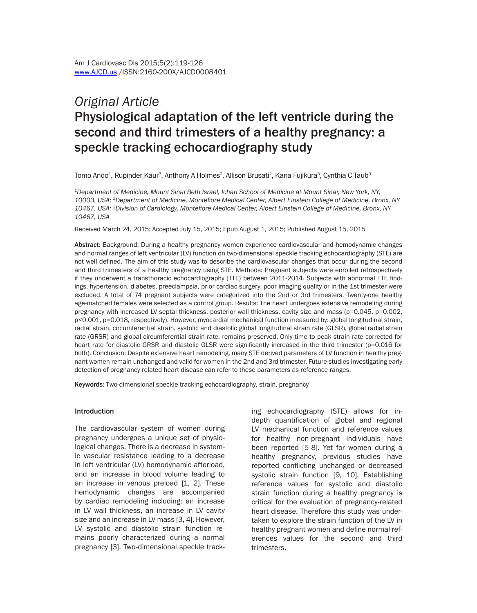# *Original Article*  Physiological adaptation of the left ventricle during the second and third trimesters of a healthy pregnancy: a speckle tracking echocardiography study

Tomo Ando<sup>1</sup>, Rupinder Kaur<sup>3</sup>, Anthony A Holmes<sup>2</sup>, Allison Brusati<sup>2</sup>, Kana Fujikura<sup>3</sup>, Cynthia C Taub<sup>3</sup>

*1Department of Medicine, Mount Sinai Beth Israel, Ichan School of Medicine at Mount Sinai, New York, NY, 10003, USA; 2Department of Medicine, Montefiore Medical Center, Albert Einstein College of Medicine, Bronx, NY 10467, USA; 3Division of Cardiology, Montefiore Medical Center, Albert Einstein College of Medicine, Bronx, NY 10467, USA*

Received March 24, 2015; Accepted July 15, 2015; Epub August 1, 2015; Published August 15, 2015

Abstract: Background: During a healthy pregnancy women experience cardiovascular and hemodynamic changes and normal ranges of left ventricular (LV) function on two-dimensional speckle tracking echocardiography (STE) are not well defined. The aim of this study was to describe the cardiovascular changes that occur during the second and third trimesters of a healthy pregnancy using STE. Methods: Pregnant subjects were enrolled retrospectively if they underwent a transthoracic echocardiography (TTE) between 2011-2014. Subjects with abnormal TTE findings, hypertension, diabetes, preeclampsia, prior cardiac surgery, poor imaging quality or in the 1st trimester were excluded. A total of 74 pregnant subjects were categorized into the 2nd or 3rd trimesters. Twenty-one healthy age-matched females were selected as a control group. Results: The heart undergoes extensive remodeling during pregnancy with increased LV septal thickness, posterior wall thickness, cavity size and mass (p=0.045, p=0.002, p<0.001, p=0.018, respectively). However, myocardial mechanical function measured by: global longitudinal strain, radial strain, circumferential strain, systolic and diastolic global longitudinal strain rate (GLSR), global radial strain rate (GRSR) and global circumferential strain rate, remains preserved. Only time to peak strain rate corrected for heart rate for diastolic GRSR and diastolic GLSR were significantly increased in the third trimester (p=0.016 for both). Conclusion: Despite extensive heart remodeling, many STE derived parameters of LV function in healthy pregnant women remain unchanged and valid for women in the 2nd and 3rd trimester. Future studies investigating early detection of pregnancy related heart disease can refer to these parameters as reference ranges.

Keywords: Two-dimensional speckle tracking echocardiography, strain, pregnancy

#### Introduction

The cardiovascular system of women during pregnancy undergoes a unique set of physiological changes. There is a decrease in systemic vascular resistance leading to a decrease in left ventricular (LV) hemodynamic afterload, and an increase in blood volume leading to an increase in venous preload [1, 2]. These hemodynamic changes are accompanied by cardiac remodeling including: an increase in LV wall thickness, an increase in LV cavity size and an increase in LV mass [3, 4]. However, LV systolic and diastolic strain function remains poorly characterized during a normal pregnancy [3]. Two-dimensional speckle tracking echocardiography (STE) allows for indepth quantification of global and regional LV mechanical function and reference values for healthy non-pregnant individuals have been reported [5-8]. Yet for women during a healthy pregnancy, previous studies have reported conflicting unchanged or decreased systolic strain function [9, 10]. Establishing reference values for systolic and diastolic strain function during a healthy pregnancy is critical for the evaluation of pregnancy-related heart disease. Therefore this study was undertaken to explore the strain function of the LV in healthy pregnant women and define normal references values for the second and third trimesters.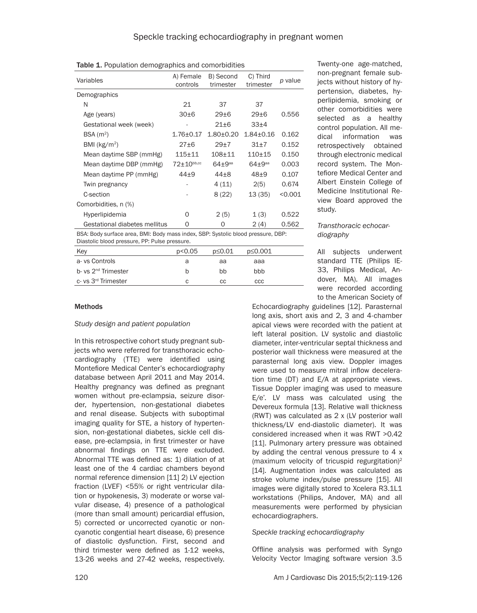Table 1. Population demographics and comorbidities

| Variables                                                                        | A) Female<br>controls | B) Second<br>trimester | C) Third<br>trimester | p value |
|----------------------------------------------------------------------------------|-----------------------|------------------------|-----------------------|---------|
| Demographics                                                                     |                       |                        |                       |         |
| N                                                                                | 21                    | 37                     | 37                    |         |
| Age (years)                                                                      | 30±6                  | 29±6                   | 29 <sub>±6</sub>      | 0.556   |
| Gestational week (week)                                                          |                       | $21 \pm 6$             | 33 <sub>±4</sub>      |         |
| BSA(m <sup>2</sup> )                                                             | $1.76 \pm 0.17$       | $1.80 + 0.20$          | $1.84 + 0.16$         | 0.162   |
| BMI ( $kg/m2$ )                                                                  | 27±6                  | 29±7                   | $31+7$                | 0.152   |
| Mean daytime SBP (mmHg)                                                          | $115 + 11$            | $108 + 11$             | $110+15$              | 0.150   |
| Mean daytime DBP (mmHg)                                                          | $72 \pm 10^{bb,cc}$   | $64 + 9$ aa            | $64 + 9$ aa           | 0.003   |
| Mean daytime PP (mmHg)                                                           | $44+9$                | $44\pm8$               | $48+9$                | 0.107   |
| Twin pregnancy                                                                   |                       | 4(11)                  | 2(5)                  | 0.674   |
| C-section                                                                        |                       | 8(22)                  | 13(35)                | < 0.001 |
| Comorbidities, n (%)                                                             |                       |                        |                       |         |
| Hyperlipidemia                                                                   | O                     | 2(5)                   | 1(3)                  | 0.522   |
| Gestational diabetes mellitus                                                    | 0                     | 0                      | 2(4)                  | 0.562   |
| RSA: Rody surface area. RMI: Rody mass index. SRP: Systolic blood pressure. DRP: |                       |                        |                       |         |

urface area, BMI: Body mass index, SBP: Systolic blood pressure, DBP: Diastolic blood pressure, PP: Pulse pressure.

| Key                             | p<0.05 | p≤0.01 | p≤0.001 |
|---------------------------------|--------|--------|---------|
| a-vs Controls                   | а      | aa     | aaa     |
| b- vs 2 <sup>nd</sup> Trimester | b      | bb     | bbb     |
| c-vs 3 <sup>rd</sup> Trimester  | C      | CС     | ccc     |

Twenty-one age-matched, non-pregnant female subjects without history of hypertension, diabetes, hyperlipidemia, smoking or other comorbidities were selected as a healthy control population. All medical information was retrospectively obtained through electronic medical record system. The Montefiore Medical Center and Albert Einstein College of Medicine Institutional Review Board approved the study.

# *Transthoracic echocardiography*

All subjects underwent standard TTE (Philips IE-33, Philips Medical, Andover, MA). All images were recorded according to the American Society of

# Methods

*Study design and patient population*

In this retrospective cohort study pregnant subjects who were referred for transthoracic echocardiography (TTE) were identified using Montefiore Medical Center's echocardiography database between April 2011 and May 2014. Healthy pregnancy was defined as pregnant women without pre-eclampsia, seizure disorder, hypertension, non-gestational diabetes and renal disease. Subjects with suboptimal imaging quality for STE, a history of hypertension, non-gestational diabetes, sickle cell disease, pre-eclampsia, in first trimester or have abnormal findings on TTE were excluded. Abnormal TTE was defined as: 1) dilation of at least one of the 4 cardiac chambers beyond normal reference dimension [11] 2) LV ejection fraction (LVEF) <55% or right ventricular dilation or hypokenesis, 3) moderate or worse valvular disease, 4) presence of a pathological (more than small amount) pericardial effusion, 5) corrected or uncorrected cyanotic or noncyanotic congential heart disease, 6) presence of diastolic dysfunction. First, second and third trimester were defined as 1-12 weeks, 13-26 weeks and 27-42 weeks, respectively. Echocardiography guidelines [12]. Parasternal long axis, short axis and 2, 3 and 4-chamber apical views were recorded with the patient at left lateral position. LV systolic and diastolic diameter, inter-ventricular septal thickness and posterior wall thickness were measured at the parasternal long axis view. Doppler images were used to measure mitral inflow deceleration time (DT) and E/A at appropriate views. Tissue Doppler imaging was used to measure E/e'. LV mass was calculated using the Devereux formula [13]. Relative wall thickness (RWT) was calculated as 2 x (LV posterior wall thickness/LV end-diastolic diameter). It was considered increased when it was RWT >0.42 [11]. Pulmonary artery pressure was obtained by adding the central venous pressure to 4 x (maximum velocity of tricuspid regurgitation)2 [14]. Augmentation index was calculated as stroke volume index/pulse pressure [15]. All images were digitally stored to Xcelera R3.1L1 workstations (Philips, Andover, MA) and all measurements were performed by physician echocardiographers.

# *Speckle tracking echocardiography*

Offline analysis was performed with Syngo Velocity Vector Imaging software version 3.5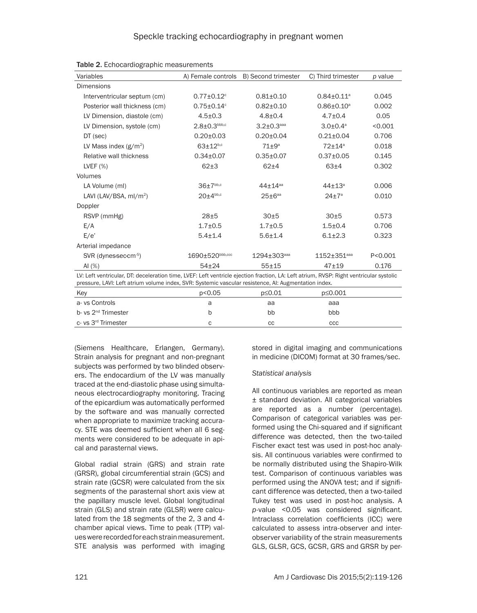| Variables                                                                                                                              |                              | A) Female controls B) Second trimester | C) Third trimester          | p value   |
|----------------------------------------------------------------------------------------------------------------------------------------|------------------------------|----------------------------------------|-----------------------------|-----------|
| <b>Dimensions</b>                                                                                                                      |                              |                                        |                             |           |
| Interventricular septum (cm)                                                                                                           | $0.77 \pm 0.12$ <sup>c</sup> | $0.81 \pm 0.10$                        | $0.84 \pm 0.11^a$           | 0.045     |
| Posterior wall thickness (cm)                                                                                                          | $0.75 \pm 0.14$ °            | $0.82 \pm 0.10$                        | $0.86 \pm 0.10^{\circ}$     | 0.002     |
| LV Dimension, diastole (cm)                                                                                                            | $4.5 \pm 0.3$                | $4.8 \pm 0.4$                          | $4.7 + 0.4$                 | 0.05      |
| LV Dimension, systole (cm)                                                                                                             | $2.8 \pm 0.3^{\rm bbb, c}$   | $3.2 \pm 0.3$ <sup>aaa</sup>           | $3.0 \pm 0.4$ <sup>a</sup>  | < 0.001   |
| DT (sec)                                                                                                                               | $0.20 \pm 0.03$              | $0.20 \pm 0.04$                        | $0.21 \pm 0.04$             | 0.706     |
| LV Mass index $(g/m^2)$                                                                                                                | $63 \pm 12^{b,c}$            | $71 \pm 9^a$                           | $72 \pm 14$ <sup>a</sup>    | 0.018     |
| Relative wall thickness                                                                                                                | $0.34 \pm 0.07$              | $0.35 \pm 0.07$                        | $0.37 \pm 0.05$             | 0.145     |
| LVEF $(\%)$                                                                                                                            | $62+3$                       | $62+4$                                 | $63+4$                      | 0.302     |
| Volumes                                                                                                                                |                              |                                        |                             |           |
| LA Volume (ml)                                                                                                                         | $36\pm7^{bb,c}$              | $44 + 14^{aa}$                         | $44 + 13^a$                 | 0.006     |
| LAVI (LAV/BSA, $ml/m2$ )                                                                                                               | $20\pm4^{bb,c}$              | $25 \pm 6$ <sup>aa</sup>               | $24 \pm 7^{\circ}$          | 0.010     |
| Doppler                                                                                                                                |                              |                                        |                             |           |
| RSVP (mmHg)                                                                                                                            | 28±5                         | 30±5                                   | 30±5                        | 0.573     |
| E/A                                                                                                                                    | $1.7 \pm 0.5$                | $1.7 + 0.5$                            | $1.5 + 0.4$                 | 0.706     |
| E/e'                                                                                                                                   | $5.4 \pm 1.4$                | $5.6 \pm 1.4$                          | $6.1 \pm 2.3$               | 0.323     |
| Arterial impedance                                                                                                                     |                              |                                        |                             |           |
| SVR (dynes-sec-cm-5)                                                                                                                   | 1690±520bbb,ccc              | $1294 \pm 303$ <sup>aaa</sup>          | $1152 + 351$ <sup>aaa</sup> | P < 0.001 |
| AI $(%)$                                                                                                                               | $54 + 24$                    | $55 + 15$                              | $47 + 19$                   | 0.176     |
| LV: Left ventricular, DT: deceleration time, LVEF: Left ventricle ejection fraction, LA: Left atrium, RVSP: Right ventricular systolic |                              |                                        |                             |           |

Table 2. Echocardiographic measurements

| pressure, LAVI: Left atrium volume index, SVR: Systemic vascular resistence, AI: Augmentation index. |        |        |         |  |
|------------------------------------------------------------------------------------------------------|--------|--------|---------|--|
| Key                                                                                                  | p<0.05 | p≤0.01 | p≤0.001 |  |
| a-vs Controls                                                                                        |        | aa     | aaa     |  |
| b- vs 2 <sup>nd</sup> Trimester                                                                      |        | bb     | bbb     |  |
| c-vs 3 <sup>rd</sup> Trimester                                                                       |        | CС     | ссс     |  |

(Siemens Healthcare, Erlangen, Germany). Strain analysis for pregnant and non-pregnant subjects was performed by two blinded observers. The endocardium of the LV was manually traced at the end-diastolic phase using simultaneous electrocardiography monitoring. Tracing of the epicardium was automatically performed by the software and was manually corrected when appropriate to maximize tracking accuracy. STE was deemed sufficient when all 6 segments were considered to be adequate in apical and parasternal views.

Global radial strain (GRS) and strain rate (GRSR), global circumferential strain (GCS) and strain rate (GCSR) were calculated from the six segments of the parasternal short axis view at the papillary muscle level. Global longitudinal strain (GLS) and strain rate (GLSR) were calculated from the 18 segments of the 2, 3 and 4 chamber apical views. Time to peak (TTP) values were recorded for each strain measurement. STE analysis was performed with imaging stored in digital imaging and communications in medicine (DICOM) format at 30 frames/sec.

# *Statistical analysis*

All continuous variables are reported as mean ± standard deviation. All categorical variables are reported as a number (percentage). Comparison of categorical variables was performed using the Chi-squared and if significant difference was detected, then the two-tailed Fischer exact test was used in post-hoc analysis. All continuous variables were confirmed to be normally distributed using the Shapiro-Wilk test. Comparison of continuous variables was performed using the ANOVA test; and if significant difference was detected, then a two-tailed Tukey test was used in post-hoc analysis. A *p*-value <0.05 was considered significant. Intraclass correlation coefficients (ICC) were calculated to assess intra-observer and interobserver variability of the strain measurements GLS, GLSR, GCS, GCSR, GRS and GRSR by per-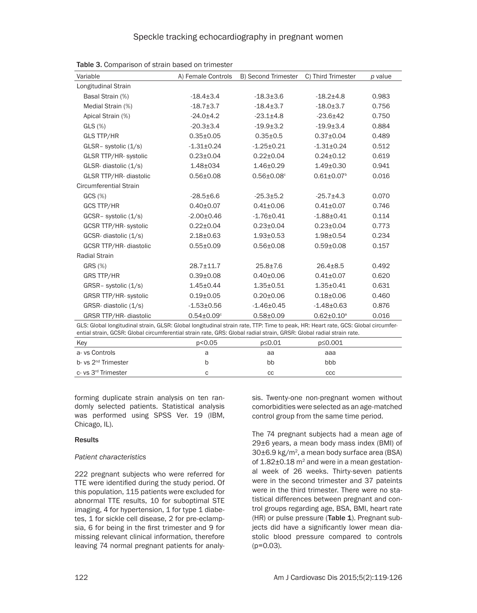| Variable                                                                                                                                                                                                                                                  | A) Female Controls           | B) Second Trimester          | C) Third Trimester           | p value |
|-----------------------------------------------------------------------------------------------------------------------------------------------------------------------------------------------------------------------------------------------------------|------------------------------|------------------------------|------------------------------|---------|
| Longitudinal Strain                                                                                                                                                                                                                                       |                              |                              |                              |         |
| Basal Strain (%)                                                                                                                                                                                                                                          | $-18.4 \pm 3.4$              | $-18.3 \pm 3.6$              | $-18.2 + 4.8$                | 0.983   |
| Medial Strain (%)                                                                                                                                                                                                                                         | $-18.7 + 3.7$                | $-18.4 \pm 3.7$              | $-18.0 + 3.7$                | 0.756   |
| Apical Strain (%)                                                                                                                                                                                                                                         | $-24.0 + 4.2$                | $-23.1 \pm 4.8$              | $-23.6 \pm 42$               | 0.750   |
| $GLS$ $(\%)$                                                                                                                                                                                                                                              | $-20.3 \pm 3.4$              | $-19.9 \pm 3.2$              | $-19.9 + 3.4$                | 0.884   |
| <b>GLS TTP/HR</b>                                                                                                                                                                                                                                         | $0.35 \pm 0.05$              | $0.35 \pm 0.5$               | $0.37 \pm 0.04$              | 0.489   |
| GLSR- systolic (1/s)                                                                                                                                                                                                                                      | $-1.31 \pm 0.24$             | $-1.25 \pm 0.21$             | $-1.31 \pm 0.24$             | 0.512   |
| <b>GLSR TTP/HR-systolic</b>                                                                                                                                                                                                                               | $0.23 \pm 0.04$              | $0.22 \pm 0.04$              | $0.24 \pm 0.12$              | 0.619   |
| GLSR-diastolic (1/s)                                                                                                                                                                                                                                      | $1.48 + 034$                 | $1.46 \pm 0.29$              | $1.49 \pm 0.30$              | 0.941   |
| GLSR TTP/HR- diastolic                                                                                                                                                                                                                                    | $0.56 \pm 0.08$              | $0.56 \pm 0.08$ <sup>c</sup> | $0.61 \pm 0.07$ <sup>b</sup> | 0.016   |
| <b>Circumferential Strain</b>                                                                                                                                                                                                                             |                              |                              |                              |         |
| GCS(%)                                                                                                                                                                                                                                                    | $-28.5 \pm 6.6$              | $-25.3 + 5.2$                | $-25.7+4.3$                  | 0.070   |
| <b>GCS TTP/HR</b>                                                                                                                                                                                                                                         | $0.40 \pm 0.07$              | $0.41 \pm 0.06$              | $0.41 \pm 0.07$              | 0.746   |
| GCSR- systolic (1/s)                                                                                                                                                                                                                                      | $-2.00 \pm 0.46$             | $-1.76 \pm 0.41$             | $-1.88 + 0.41$               | 0.114   |
| GCSR TTP/HR-systolic                                                                                                                                                                                                                                      | $0.22 \pm 0.04$              | $0.23 \pm 0.04$              | $0.23 \pm 0.04$              | 0.773   |
| GCSR-diastolic (1/s)                                                                                                                                                                                                                                      | $2.18 + 0.63$                | $1.93 + 0.53$                | $1.98 + 0.54$                | 0.234   |
| GCSR TTP/HR- diastolic                                                                                                                                                                                                                                    | $0.55 \pm 0.09$              | $0.56 \pm 0.08$              | $0.59 + 0.08$                | 0.157   |
| <b>Radial Strain</b>                                                                                                                                                                                                                                      |                              |                              |                              |         |
| GRS (%)                                                                                                                                                                                                                                                   | $28.7 \pm 11.7$              | $25.8 + 7.6$                 | $26.4 \pm 8.5$               | 0.492   |
| <b>GRS TTP/HR</b>                                                                                                                                                                                                                                         | $0.39 \pm 0.08$              | $0.40 \pm 0.06$              | $0.41 \pm 0.07$              | 0.620   |
| GRSR-systolic (1/s)                                                                                                                                                                                                                                       | $1.45 \pm 0.44$              | $1.35 \pm 0.51$              | $1.35 \pm 0.41$              | 0.631   |
| <b>GRSR TTP/HR- systolic</b>                                                                                                                                                                                                                              | $0.19 + 0.05$                | $0.20 \pm 0.06$              | $0.18 + 0.06$                | 0.460   |
| GRSR-diastolic (1/s)                                                                                                                                                                                                                                      | $-1.53 + 0.56$               | $-1.46 \pm 0.45$             | $-1.48 + 0.63$               | 0.876   |
| GRSR TTP/HR- diastolic                                                                                                                                                                                                                                    | $0.54 \pm 0.09$ <sup>c</sup> | $0.58 + 0.09$                | $0.62 \pm 0.10^a$            | 0.016   |
| GLS: Global longitudinal strain, GLSR: Global longitudinal strain rate, TTP: Time to peak, HR: Heart rate, GCS: Global circumfer-<br>ential strain, GCSR: Global circumferential strain rate, GRS: Global radial strain, GRSR: Global radial strain rate. |                              |                              |                              |         |
| Key                                                                                                                                                                                                                                                       | p<0.05                       | p≤0.01                       | p≤0.001                      |         |
| a-vs Controls                                                                                                                                                                                                                                             | a                            | aa                           | aaa                          |         |

b- vs 2<sup>nd</sup> Trimester b bbb bbb bbb bbb bbb bbb c- vs 3rd Trimester c cc ccc

Table 3. Comparison of strain based on trimester

forming duplicate strain analysis on ten randomly selected patients. Statistical analysis was performed using SPSS Ver. 19 (IBM, Chicago, IL).

# **Results**

# *Patient characteristics*

222 pregnant subjects who were referred for TTE were identified during the study period. Of this population, 115 patients were excluded for abnormal TTE results, 10 for suboptimal STE imaging, 4 for hypertension, 1 for type 1 diabetes, 1 for sickle cell disease, 2 for pre-eclampsia, 6 for being in the first trimester and 9 for missing relevant clinical information, therefore leaving 74 normal pregnant patients for analysis. Twenty-one non-pregnant women without comorbidities were selected as an age-matched control group from the same time period.

The 74 pregnant subjects had a mean age of 29±6 years, a mean body mass index (BMI) of 30±6.9 kg/m2, a mean body surface area (BSA) of  $1.82\pm0.18$  m<sup>2</sup> and were in a mean gestational week of 26 weeks. Thirty-seven patients were in the second trimester and 37 pateints were in the third trimester. There were no statistical differences between pregnant and control groups regarding age, BSA, BMI, heart rate (HR) or pulse pressure (Table 1). Pregnant subjects did have a significantly lower mean diastolic blood pressure compared to controls (p=0.03).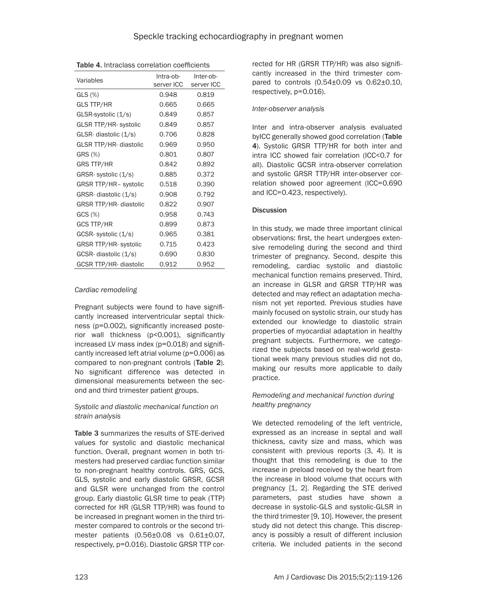| Variables                     | Intra-ob-<br>server ICC | Inter-ob-<br>server ICC |
|-------------------------------|-------------------------|-------------------------|
| $GLS(\%)$                     | 0.948                   | 0.819                   |
| <b>GLS TTP/HR</b>             | 0.665                   | 0.665                   |
| GLSR-systolic (1/s)           | 0.849                   | 0.857                   |
| <b>GLSR TTP/HR-systolic</b>   | 0.849                   | 0.857                   |
| GLSR-diastolic (1/s)          | 0.706                   | 0.828                   |
| GLSR TTP/HR- diastolic        | 0.969                   | 0.950                   |
| GRS (%)                       | 0.801                   | 0.807                   |
| <b>GRS TTP/HR</b>             | 0.842                   | 0.892                   |
| GRSR-systolic (1/s)           | 0.885                   | 0.372                   |
| GRSR TTP/HR- systolic         | 0.518                   | 0.390                   |
| GRSR-diastolic (1/s)          | 0.908                   | 0.792                   |
| <b>GRSR TTP/HR- diastolic</b> | 0.822                   | 0.907                   |
| GCS(%)                        | 0.958                   | 0.743                   |
| <b>GCS TTP/HR</b>             | 0.899                   | 0.873                   |
| GCSR-systolic (1/s)           | 0.965                   | 0.381                   |
| <b>GRSR TTP/HR-systolic</b>   | 0.715                   | 0.423                   |
| GCSR-diastolic (1/s)          | 0.690                   | 0.830                   |
| GCSR TTP/HR- diastolic        | 0.912                   | 0.952                   |

Table 4. Intraclass correlation coefficients

#### *Cardiac remodeling*

Pregnant subjects were found to have significantly increased interventricular septal thickness (p=0.002), significantly increased posterior wall thickness (p<0.001), significantly increased LV mass index (p=0.018) and significantly increased left atrial volume (p=0.006) as compared to non-pregnant controls (Table 2). No significant difference was detected in dimensional measurements between the second and third trimester patient groups.

#### *Systolic and diastolic mechanical function on strain analysis*

Table 3 summarizes the results of STE-derived values for systolic and diastolic mechanical function. Overall, pregnant women in both trimesters had preserved cardiac function similar to non-pregnant healthy controls. GRS, GCS, GLS, systolic and early diastolic GRSR, GCSR and GLSR were unchanged from the control group. Early diastolic GLSR time to peak (TTP) corrected for HR (GLSR TTP/HR) was found to be increased in pregnant women in the third trimester compared to controls or the second trimester patients (0.56±0.08 vs 0.61±0.07, respectively, p=0.016). Diastolic GRSR TTP corrected for HR (GRSR TTP/HR) was also significantly increased in the third trimester compared to controls  $(0.54 \pm 0.09 \text{ vs } 0.62 \pm 0.10,$ respectively, p=0.016).

#### *Inter-observer analysis*

Inter and intra-observer analysis evaluated byICC generally showed good correlation (Table 4). Systolic GRSR TTP/HR for both inter and intra ICC showed fair correlation (ICC<0.7 for all). Diastolic GCSR intra-observer correlation and systolic GRSR TTP/HR inter-observer correlation showed poor agreement (ICC=0.690 and ICC=0.423, respectively).

#### **Discussion**

In this study, we made three important clinical observations: first, the heart undergoes extensive remodeling during the second and third trimester of pregnancy. Second, despite this remodeling, cardiac systolic and diastolic mechanical function remains preserved. Third, an increase in GLSR and GRSR TTP/HR was detected and may reflect an adaptation mechanism not yet reported. Previous studies have mainly focused on systolic strain, our study has extended our knowledge to diastolic strain properties of myocardial adaptation in healthy pregnant subjects. Furthermore, we categorized the subjects based on real-world gestational week many previous studies did not do, making our results more applicable to daily practice.

# *Remodeling and mechanical function during healthy pregnancy*

We detected remodeling of the left ventricle, expressed as an increase in septal and wall thickness, cavity size and mass, which was consistent with previous reports (3, 4). It is thought that this remodeling is due to the increase in preload received by the heart from the increase in blood volume that occurs with pregnancy [1, 2]. Regarding the STE derived parameters, past studies have shown a decrease in systolic-GLS and systolic-GLSR in the third trimester [9, 10]. However, the present study did not detect this change. This discrepancy is possibly a result of different inclusion criteria. We included patients in the second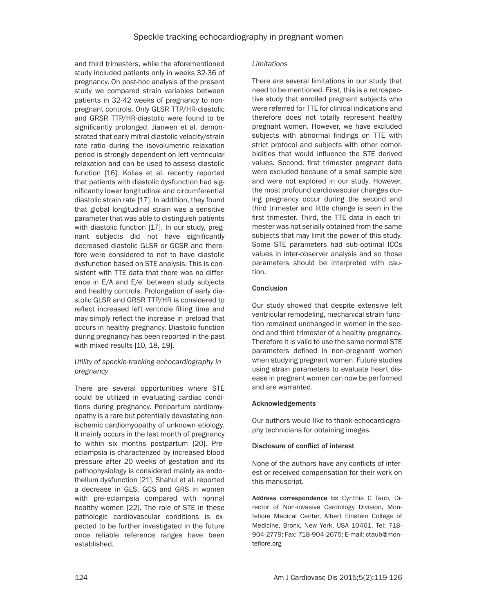and third trimesters, while the aforementioned study included patients only in weeks 32-36 of pregnancy. On post-hoc analysis of the present study we compared strain variables between patients in 32-42 weeks of pregnancy to nonpregnant controls. Only GLSR TTP/HR-diastolic and GRSR TTP/HR-diastolic were found to be significantly prolonged. Jianwen et al. demonstrated that early mitral diastolic velocity/strain rate ratio during the isovolumetric relaxation period is strongly dependent on left ventricular relaxation and can be used to assess diastolic function [16]. Kolias et al. recently reported that patients with diastolic dysfunction had significantly lower longitudinal and circumferential diastolic strain rate [17]. In addition, they found that global longitudinal strain was a sensitive parameter that was able to distinguish patients with diastolic function [17]. In our study, pregnant subjects did not have significantly decreased diastolic GLSR or GCSR and therefore were considered to not to have diastolic dysfunction based on STE analysis. This is consistent with TTE data that there was no difference in E/A and E/e' between study subjects and healthy controls. Prolongation of early diastolic GLSR and GRSR TTP/HR is considered to reflect increased left ventricle filling time and may simply reflect the increase in preload that occurs in healthy pregnancy. Diastolic function during pregnancy has been reported in the past with mixed results [10, 18, 19].

# *Utility of speckle-tracking echocardiography in pregnancy*

There are several opportunities where STE could be utilized in evaluating cardiac conditions during pregnancy. Peripartum cardiomyopathy is a rare but potentially devastating nonischemic cardiomyopathy of unknown etiology. It mainly occurs in the last month of pregnancy to within six months postpartum [20]. Preeclampsia is characterized by increased blood pressure after 20 weeks of gestation and its pathophysiology is considered mainly as endothelium dysfunction [21]. Shahul et al. reported a decrease in GLS, GCS and GRS in women with pre-eclampsia compared with normal healthy women [22]. The role of STE in these pathologic cardiovascular conditions is expected to be further investigated in the future once reliable reference ranges have been established.

#### *Limitations*

There are several limitations in our study that need to be mentioned. First, this is a retrospective study that enrolled pregnant subjects who were referred for TTE for clinical indications and therefore does not totally represent healthy pregnant women. However, we have excluded subjects with abnormal findings on TTE with strict protocol and subjects with other comorbidities that would influence the STE derived values. Second, first trimester pregnant data were excluded because of a small sample size and were not explored in our study. However, the most profound cardiovascular changes during pregnancy occur during the second and third trimester and little change is seen in the first trimester. Third, the TTE data in each trimester was not serially obtained from the same subjects that may limit the power of this study. Some STE parameters had sub-optimal ICCs values in inter-observer analysis and so those parameters should be interpreted with caution.

# **Conclusion**

Our study showed that despite extensive left ventricular remodeling, mechanical strain function remained unchanged in women in the second and third trimester of a healthy pregnancy. Therefore it is valid to use the same normal STE parameters defined in non-pregnant women when studying pregnant women. Future studies using strain parameters to evaluate heart disease in pregnant women can now be performed and are warranted.

# Acknowledgements

Our authors would like to thank echocardiography technicians for obtaining images.

#### Disclosure of conflict of interest

None of the authors have any conflicts of interest or received compensation for their work on this manuscript.

Address correspondence to: Cynthia C Taub, Director of Non-invasive Cardiology Division, Montefiore Medical Center, Albert Einstein College of Medicine, Bronx, New York, USA 10461. Tel: 718- 904-2779; Fax: 718-904-2675; E-mail: [ctaub@mon](mailto:ctaub@montefiore.org)[tefiore.org](mailto:ctaub@montefiore.org)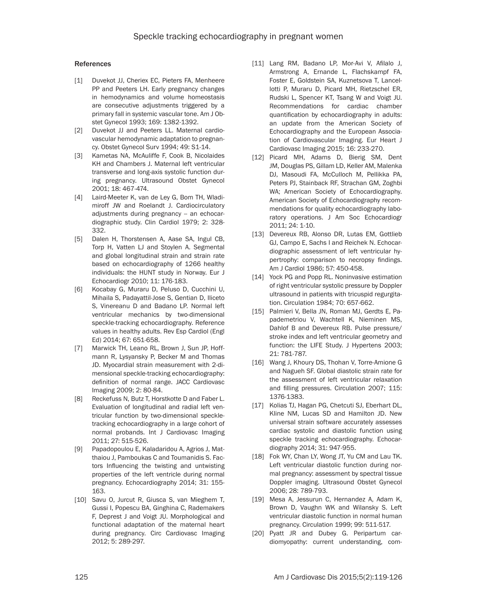#### References

- [1] Duvekot JJ, Cheriex EC, Pieters FA, Menheere PP and Peeters LH. Early pregnancy changes in hemodynamics and volume homeostasis are consecutive adjustments triggered by a primary fall in systemic vascular tone. Am J Obstet Gynecol 1993; 169: 1382-1392.
- [2] Duvekot JJ and Peeters LL. Maternal cardiovascular hemodynamic adaptation to pregnancy. Obstet Gynecol Surv 1994; 49: S1-14.
- [3] Kametas NA, McAuliffe F, Cook B, Nicolaides KH and Chambers J. Maternal left ventricular transverse and long-axis systolic function during pregnancy. Ultrasound Obstet Gynecol 2001; 18: 467-474.
- [4] Laird-Meeter K, van de Ley G, Bom TH, Wladimiroff JW and Roelandt J. Cardiocirculatory adjustments during pregnancy -- an echocardiographic study. Clin Cardiol 1979; 2: 328- 332.
- [5] Dalen H, Thorstensen A, Aase SA, Ingul CB, Torp H, Vatten LJ and Stoylen A. Segmental and global longitudinal strain and strain rate based on echocardiography of 1266 healthy individuals: the HUNT study in Norway. Eur J Echocardiogr 2010; 11: 176-183.
- [6] Kocabay G, Muraru D, Peluso D, Cucchini U, Mihaila S, Padayattil-Jose S, Gentian D, Iliceto S, Vinereanu D and Badano LP. Normal left ventricular mechanics by two-dimensional speckle-tracking echocardiography. Reference values in healthy adults. Rev Esp Cardiol (Engl Ed) 2014; 67: 651-658.
- [7] Marwick TH, Leano RL, Brown J, Sun JP, Hoffmann R, Lysyansky P, Becker M and Thomas JD. Myocardial strain measurement with 2-dimensional speckle-tracking echocardiography: definition of normal range. JACC Cardiovasc Imaging 2009; 2: 80-84.
- [8] Reckefuss N, Butz T, Horstkotte D and Faber L. Evaluation of longitudinal and radial left ventricular function by two-dimensional speckletracking echocardiography in a large cohort of normal probands. Int J Cardiovasc Imaging 2011; 27: 515-526.
- [9] Papadopoulou E, Kaladaridou A, Agrios J, Matthaiou J, Pamboukas C and Toumanidis S. Factors Influencing the twisting and untwisting properties of the left ventricle during normal pregnancy. Echocardiography 2014; 31: 155- 163.
- [10] Savu O, Jurcut R, Giusca S, van Mieghem T, Gussi I, Popescu BA, Ginghina C, Rademakers F, Deprest J and Voigt JU. Morphological and functional adaptation of the maternal heart during pregnancy. Circ Cardiovasc Imaging 2012; 5: 289-297.
- [11] Lang RM, Badano LP, Mor-Avi V, Afilalo J, Armstrong A, Ernande L, Flachskampf FA, Foster E, Goldstein SA, Kuznetsova T, Lancellotti P, Muraru D, Picard MH, Rietzschel ER, Rudski L, Spencer KT, Tsang W and Voigt JU. Recommendations for cardiac chamber quantification by echocardiography in adults: an update from the American Society of Echocardiography and the European Association of Cardiovascular Imaging. Eur Heart J Cardiovasc Imaging 2015; 16: 233-270.
- [12] Picard MH, Adams D, Bierig SM, Dent JM, Douglas PS, Gillam LD, Keller AM, Malenka DJ, Masoudi FA, McCulloch M, Pellikka PA, Peters PJ, Stainback RF, Strachan GM, Zoghbi WA; American Society of Echocardiography. American Society of Echocardiography recommendations for quality echocardiography laboratory operations. J Am Soc Echocardiogr 2011; 24: 1-10.
- [13] Devereux RB, Alonso DR, Lutas EM, Gottlieb GJ, Campo E, Sachs I and Reichek N. Echocardiographic assessment of left ventricular hypertrophy: comparison to necropsy findings. Am J Cardiol 1986; 57: 450-458.
- [14] Yock PG and Popp RL. Noninvasive estimation of right ventricular systolic pressure by Doppler ultrasound in patients with tricuspid regurgitation. Circulation 1984; 70: 657-662.
- [15] Palmieri V, Bella JN, Roman MJ, Gerdts E, Papademetriou V, Wachtell K, Nieminen MS, Dahlof B and Devereux RB. Pulse pressure/ stroke index and left ventricular geometry and function: the LIFE Study. J Hypertens 2003; 21: 781-787.
- [16] Wang J, Khoury DS, Thohan V, Torre-Amione G and Nagueh SF. Global diastolic strain rate for the assessment of left ventricular relaxation and filling pressures. Circulation 2007; 115: 1376-1383.
- [17] Kolias TJ, Hagan PG, Chetcuti SJ, Eberhart DL, Kline NM, Lucas SD and Hamilton JD. New universal strain software accurately assesses cardiac systolic and diastolic function using speckle tracking echocardiography. Echocardiography 2014; 31: 947-955.
- [18] Fok WY, Chan LY, Wong JT, Yu CM and Lau TK. Left ventricular diastolic function during normal pregnancy: assessment by spectral tissue Doppler imaging. Ultrasound Obstet Gynecol 2006; 28: 789-793.
- [19] Mesa A, Jessurun C, Hernandez A, Adam K, Brown D, Vaughn WK and Wilansky S. Left ventricular diastolic function in normal human pregnancy. Circulation 1999; 99: 511-517.
- [20] Pyatt JR and Dubey G. Peripartum cardiomyopathy: current understanding, com-